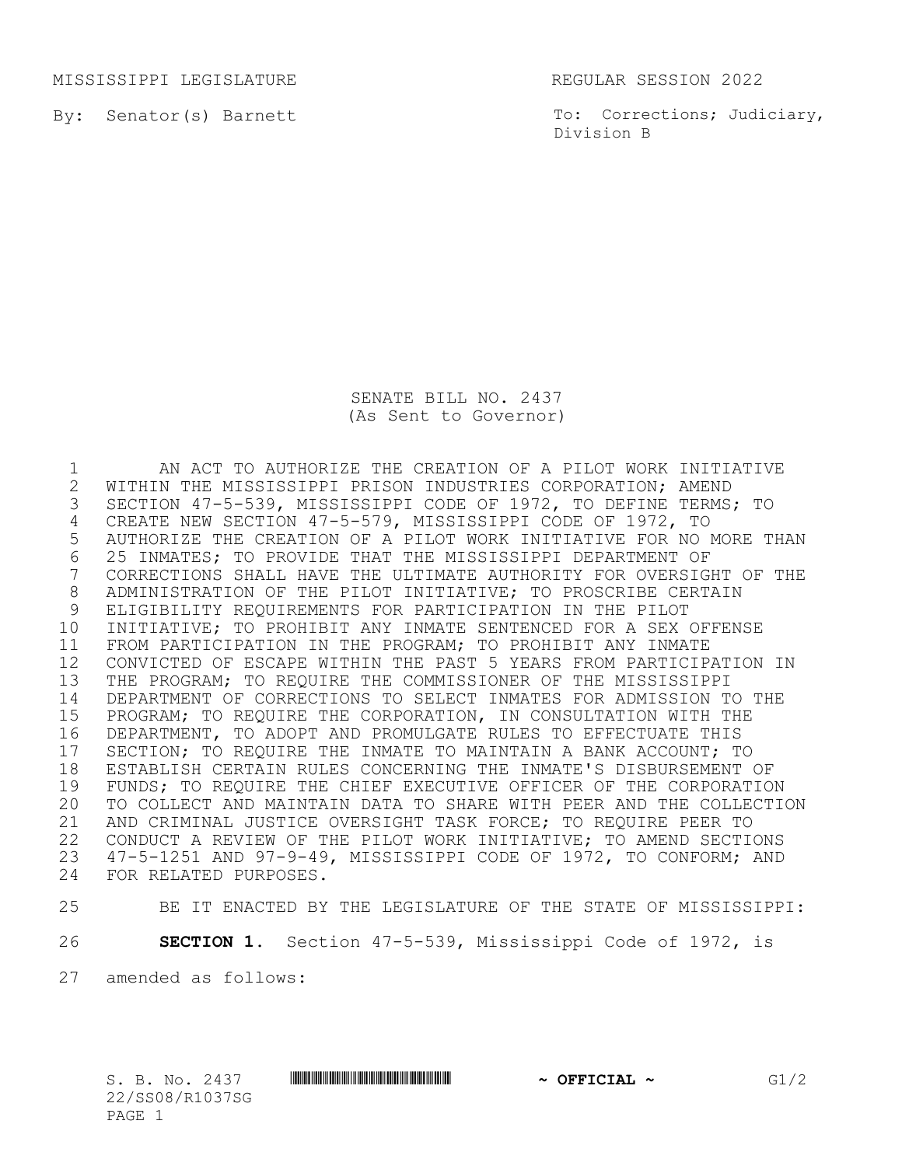MISSISSIPPI LEGISLATURE REGULAR SESSION 2022

By: Senator(s) Barnett

To: Corrections; Judiciary, Division B

SENATE BILL NO. 2437 (As Sent to Governor)

 AN ACT TO AUTHORIZE THE CREATION OF A PILOT WORK INITIATIVE 2 WITHIN THE MISSISSIPPI PRISON INDUSTRIES CORPORATION; AMEND<br>3 SECTION 47-5-539, MISSISSIPPI CODE OF 1972, TO DEFINE TERMS SECTION 47-5-539, MISSISSIPPI CODE OF 1972, TO DEFINE TERMS; TO CREATE NEW SECTION 47-5-579, MISSISSIPPI CODE OF 1972, TO AUTHORIZE THE CREATION OF A PILOT WORK INITIATIVE FOR NO MORE THAN 6 25 INMATES; TO PROVIDE THAT THE MISSISSIPPI DEPARTMENT OF<br>7 CORRECTIONS SHALL HAVE THE ULTIMATE AUTHORITY FOR OVERSIGI CORRECTIONS SHALL HAVE THE ULTIMATE AUTHORITY FOR OVERSIGHT OF THE ADMINISTRATION OF THE PILOT INITIATIVE; TO PROSCRIBE CERTAIN ELIGIBILITY REQUIREMENTS FOR PARTICIPATION IN THE PILOT INITIATIVE; TO PROHIBIT ANY INMATE SENTENCED FOR A SEX OFFENSE FROM PARTICIPATION IN THE PROGRAM; TO PROHIBIT ANY INMATE CONVICTED OF ESCAPE WITHIN THE PAST 5 YEARS FROM PARTICIPATION IN THE PROGRAM; TO REQUIRE THE COMMISSIONER OF THE MISSISSIPPI DEPARTMENT OF CORRECTIONS TO SELECT INMATES FOR ADMISSION TO THE PROGRAM; TO REQUIRE THE CORPORATION, IN CONSULTATION WITH THE DEPARTMENT, TO ADOPT AND PROMULGATE RULES TO EFFECTUATE THIS 17 SECTION; TO REQUIRE THE INMATE TO MAINTAIN A BANK ACCOUNT; TO<br>18 ESTABLISH CERTAIN RULES CONCERNING THE INMATE'S DISBURSEMENT 18 ESTABLISH CERTAIN RULES CONCERNING THE INMATE'S DISBURSEMENT OF<br>19 FUNDS: TO REOUIRE THE CHIEF EXECUTIVE OFFICER OF THE CORPORATIO FUNDS; TO REQUIRE THE CHIEF EXECUTIVE OFFICER OF THE CORPORATION TO COLLECT AND MAINTAIN DATA TO SHARE WITH PEER AND THE COLLECTION AND CRIMINAL JUSTICE OVERSIGHT TASK FORCE; TO REQUIRE PEER TO CONDUCT A REVIEW OF THE PILOT WORK INITIATIVE; TO AMEND SECTIONS 47-5-1251 AND 97-9-49, MISSISSIPPI CODE OF 1972, TO CONFORM; AND FOR RELATED PURPOSES.

```
25 BE IT ENACTED BY THE LEGISLATURE OF THE STATE OF MISSISSIPPI:
```
26 **SECTION 1.** Section 47-5-539, Mississippi Code of 1972, is

27 amended as follows:

22/SS08/R1037SG PAGE 1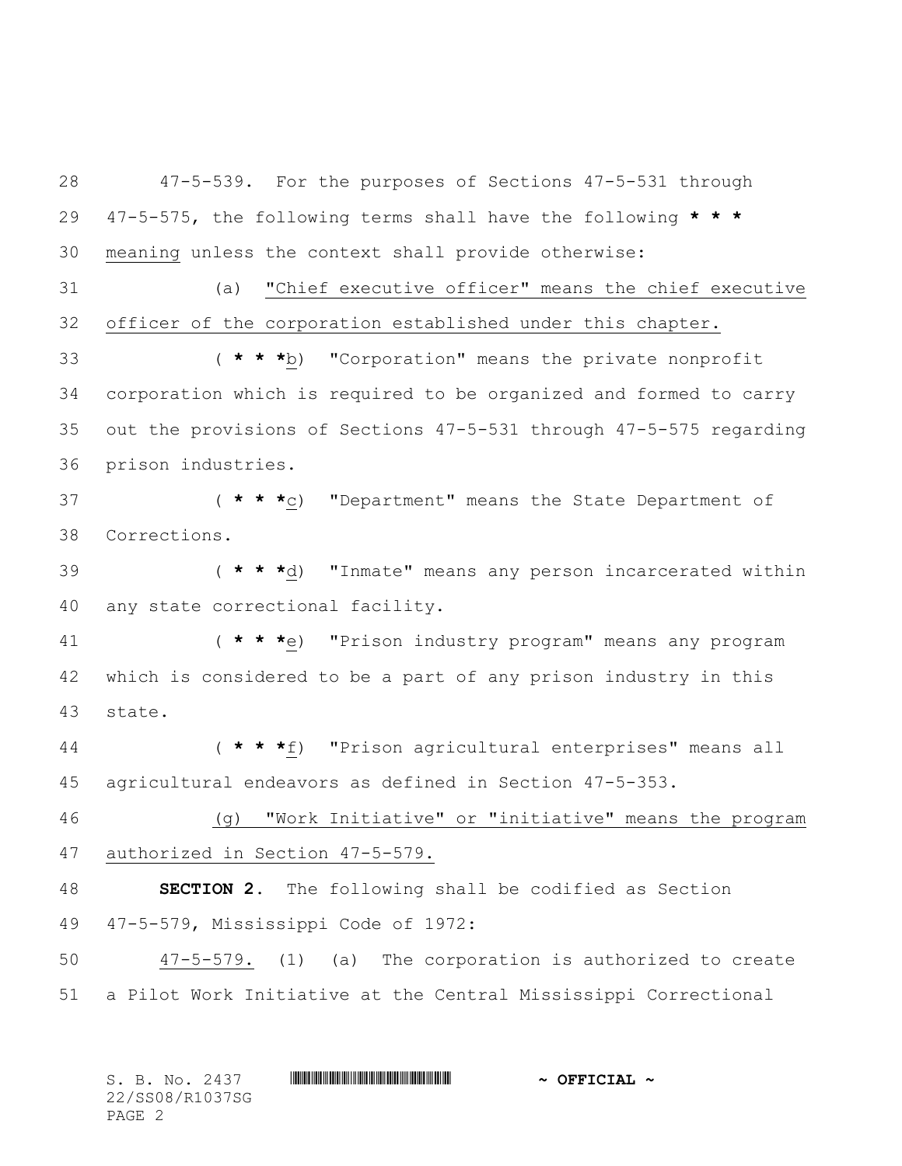47-5-539. For the purposes of Sections 47-5-531 through 47-5-575, the following terms shall have the following **\* \* \*** meaning unless the context shall provide otherwise: (a) "Chief executive officer" means the chief executive officer of the corporation established under this chapter. ( **\* \* \***b) "Corporation" means the private nonprofit corporation which is required to be organized and formed to carry out the provisions of Sections 47-5-531 through 47-5-575 regarding prison industries. ( **\* \* \***c) "Department" means the State Department of Corrections. ( **\* \* \***d) "Inmate" means any person incarcerated within any state correctional facility. ( **\* \* \***e) "Prison industry program" means any program which is considered to be a part of any prison industry in this state. ( **\* \* \***f) "Prison agricultural enterprises" means all agricultural endeavors as defined in Section 47-5-353. (g) "Work Initiative" or "initiative" means the program authorized in Section 47-5-579. **SECTION 2.** The following shall be codified as Section 47-5-579, Mississippi Code of 1972: 47-5-579. (1) (a) The corporation is authorized to create a Pilot Work Initiative at the Central Mississippi Correctional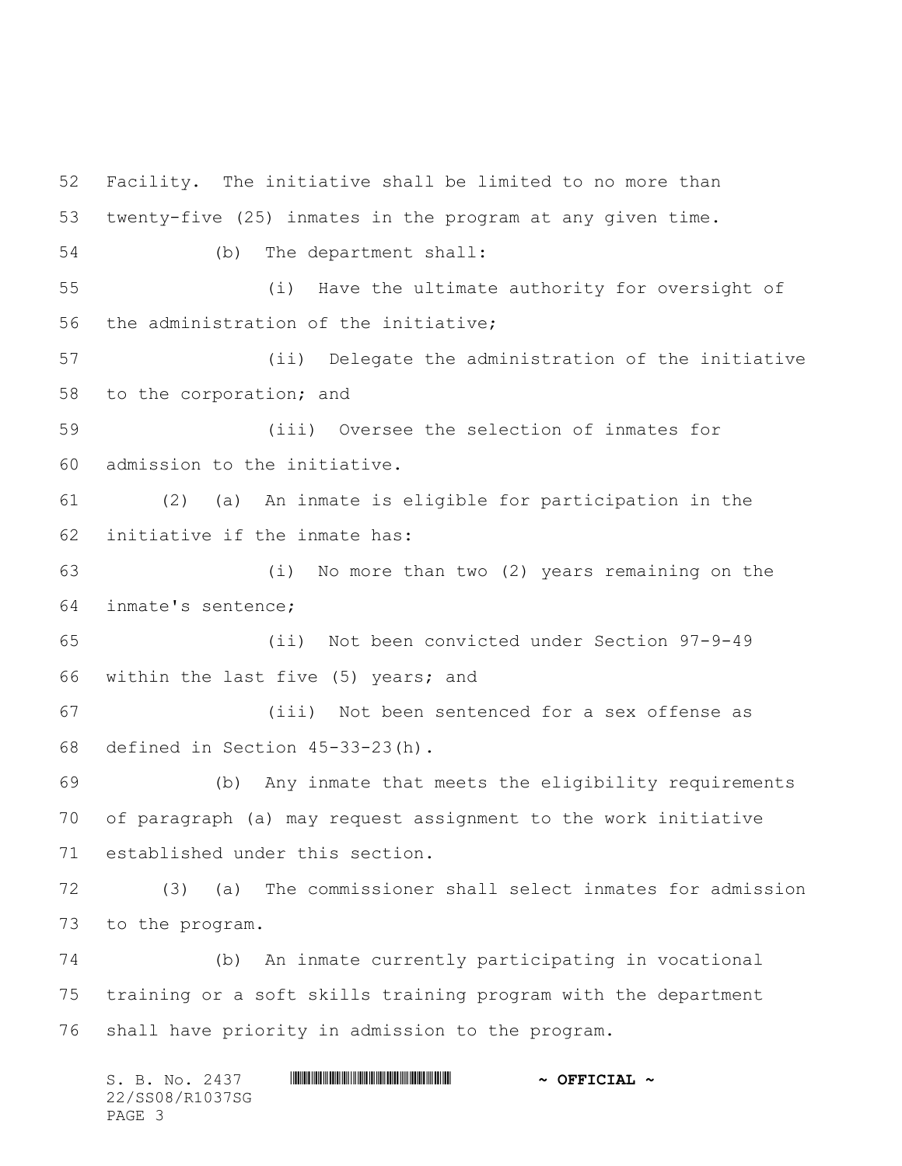S. B. No. 2437 \*SS08/R1037SG\* **~ OFFICIAL ~** 22/SS08/R1037SG Facility. The initiative shall be limited to no more than twenty-five (25) inmates in the program at any given time. (b) The department shall: (i) Have the ultimate authority for oversight of the administration of the initiative; (ii) Delegate the administration of the initiative to the corporation; and (iii) Oversee the selection of inmates for admission to the initiative. (2) (a) An inmate is eligible for participation in the initiative if the inmate has: (i) No more than two (2) years remaining on the inmate's sentence; (ii) Not been convicted under Section 97-9-49 within the last five (5) years; and (iii) Not been sentenced for a sex offense as defined in Section 45-33-23(h). (b) Any inmate that meets the eligibility requirements of paragraph (a) may request assignment to the work initiative established under this section. (3) (a) The commissioner shall select inmates for admission to the program. (b) An inmate currently participating in vocational training or a soft skills training program with the department shall have priority in admission to the program.

PAGE 3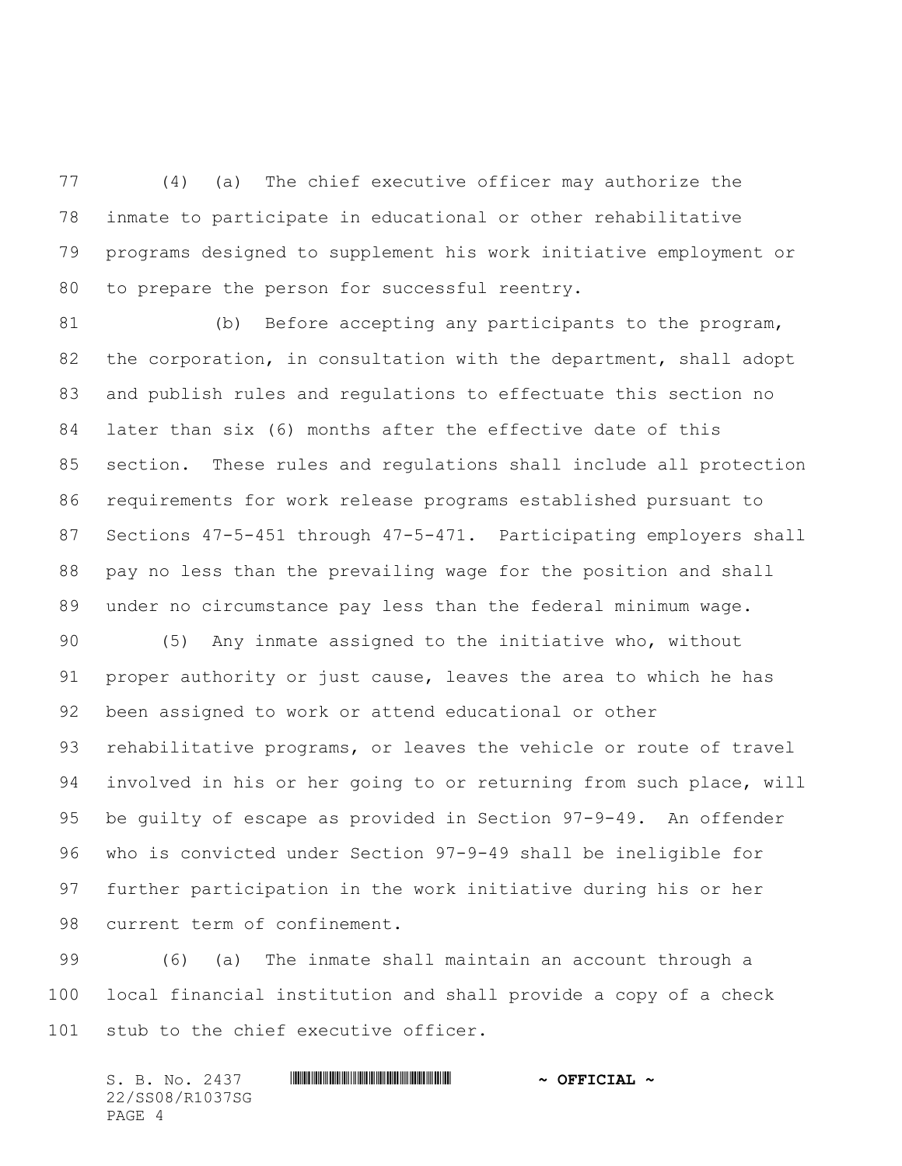(4) (a) The chief executive officer may authorize the inmate to participate in educational or other rehabilitative programs designed to supplement his work initiative employment or to prepare the person for successful reentry.

 (b) Before accepting any participants to the program, 82 the corporation, in consultation with the department, shall adopt and publish rules and regulations to effectuate this section no later than six (6) months after the effective date of this section. These rules and regulations shall include all protection requirements for work release programs established pursuant to Sections 47-5-451 through 47-5-471. Participating employers shall pay no less than the prevailing wage for the position and shall under no circumstance pay less than the federal minimum wage.

 (5) Any inmate assigned to the initiative who, without proper authority or just cause, leaves the area to which he has been assigned to work or attend educational or other rehabilitative programs, or leaves the vehicle or route of travel involved in his or her going to or returning from such place, will be guilty of escape as provided in Section 97-9-49. An offender who is convicted under Section 97-9-49 shall be ineligible for further participation in the work initiative during his or her current term of confinement.

 (6) (a) The inmate shall maintain an account through a local financial institution and shall provide a copy of a check stub to the chief executive officer.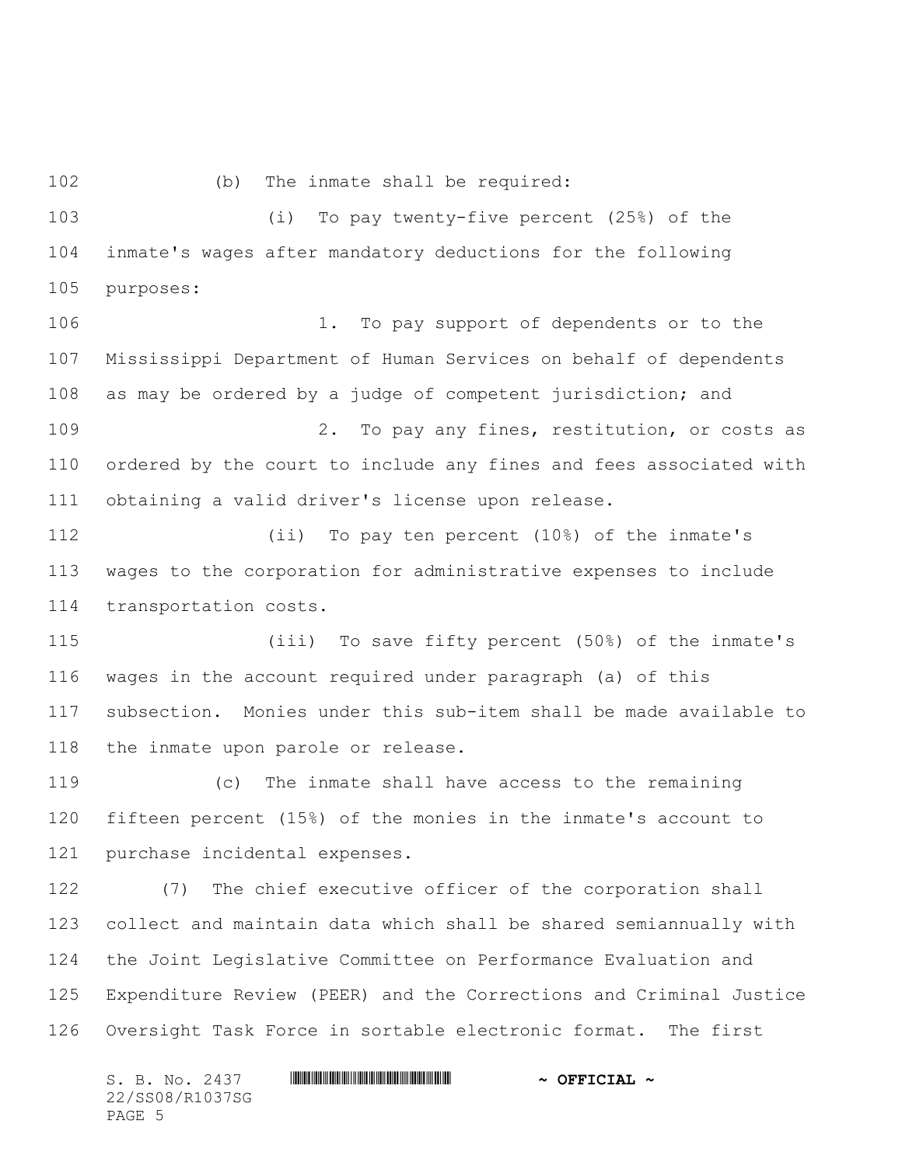(b) The inmate shall be required:

 (i) To pay twenty-five percent (25%) of the inmate's wages after mandatory deductions for the following purposes:

106 1. To pay support of dependents or to the Mississippi Department of Human Services on behalf of dependents as may be ordered by a judge of competent jurisdiction; and 109 2. To pay any fines, restitution, or costs as ordered by the court to include any fines and fees associated with obtaining a valid driver's license upon release.

 (ii) To pay ten percent (10%) of the inmate's wages to the corporation for administrative expenses to include transportation costs.

 (iii) To save fifty percent (50%) of the inmate's wages in the account required under paragraph (a) of this subsection. Monies under this sub-item shall be made available to the inmate upon parole or release.

 (c) The inmate shall have access to the remaining fifteen percent (15%) of the monies in the inmate's account to purchase incidental expenses.

 (7) The chief executive officer of the corporation shall collect and maintain data which shall be shared semiannually with the Joint Legislative Committee on Performance Evaluation and Expenditure Review (PEER) and the Corrections and Criminal Justice Oversight Task Force in sortable electronic format. The first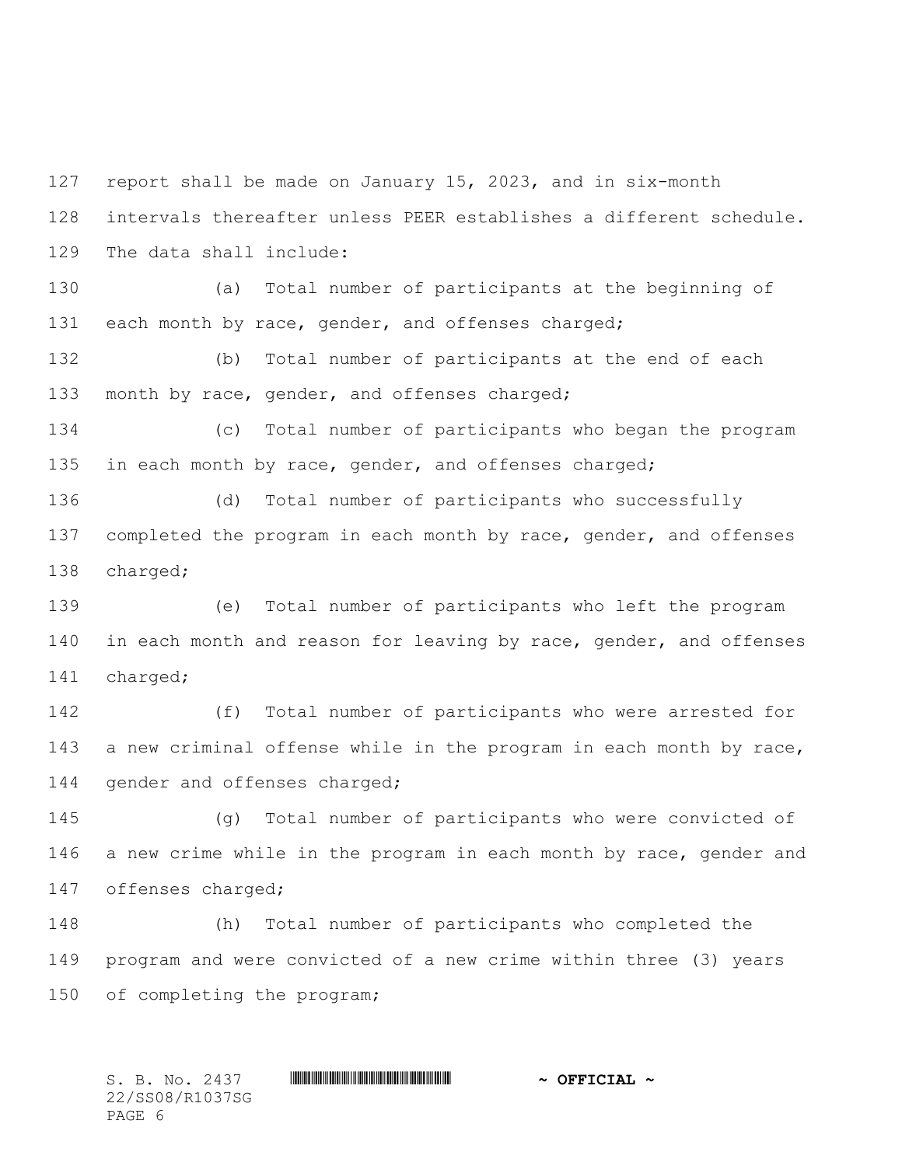report shall be made on January 15, 2023, and in six-month intervals thereafter unless PEER establishes a different schedule. The data shall include: (a) Total number of participants at the beginning of 131 each month by race, gender, and offenses charged; (b) Total number of participants at the end of each 133 month by race, gender, and offenses charged; (c) Total number of participants who began the program 135 in each month by race, gender, and offenses charged; (d) Total number of participants who successfully 137 completed the program in each month by race, gender, and offenses charged; (e) Total number of participants who left the program 140 in each month and reason for leaving by race, gender, and offenses charged; (f) Total number of participants who were arrested for a new criminal offense while in the program in each month by race, 144 gender and offenses charged; (g) Total number of participants who were convicted of a new crime while in the program in each month by race, gender and offenses charged; (h) Total number of participants who completed the program and were convicted of a new crime within three (3) years of completing the program;

S. B. No. 2437 **\*\*\* And a set of the set of the set of the set of set of the set of the set of the set of the set of the set of the set of**  $\sim$  **of**  $\mathbf{F}$  **of**  $\mathbf{F}$ 22/SS08/R1037SG PAGE 6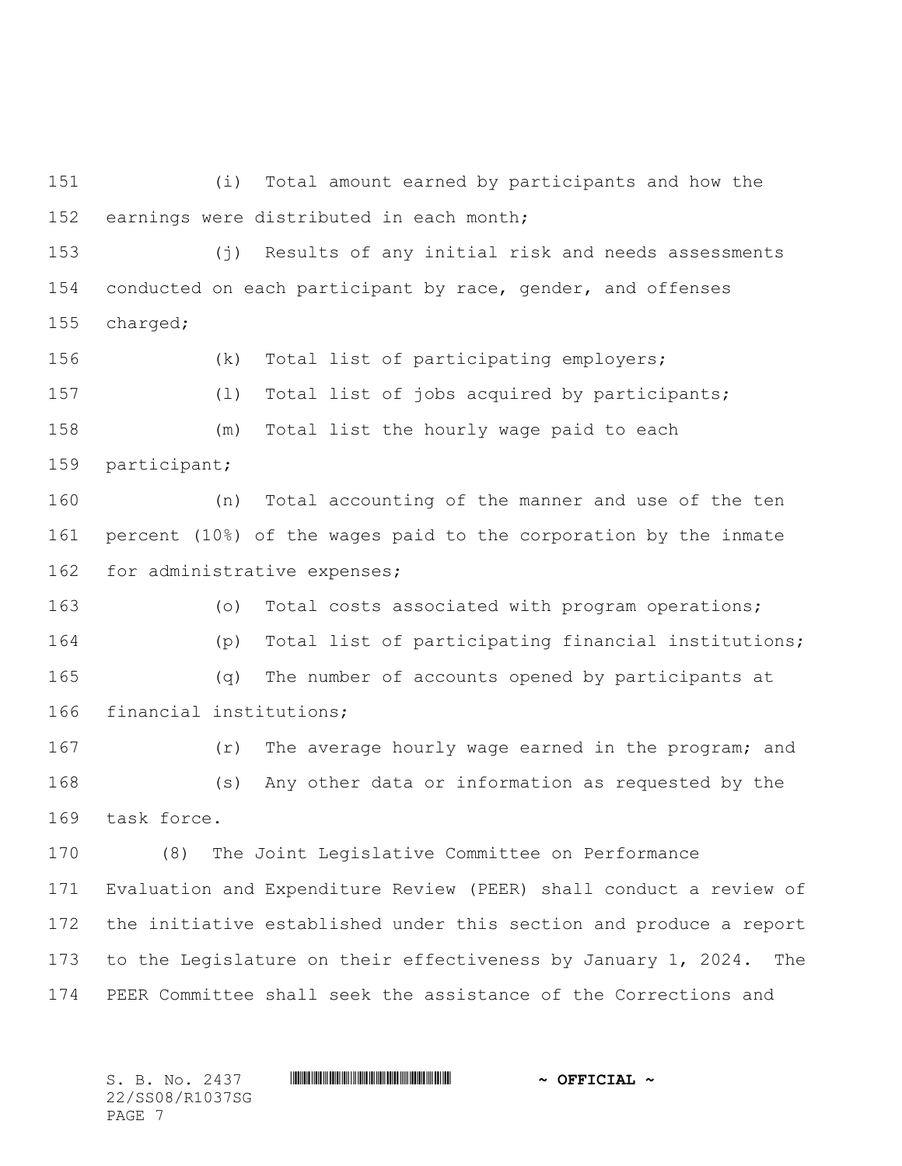(i) Total amount earned by participants and how the earnings were distributed in each month;

 (j) Results of any initial risk and needs assessments conducted on each participant by race, gender, and offenses charged;

 (k) Total list of participating employers; (l) Total list of jobs acquired by participants; (m) Total list the hourly wage paid to each

participant;

 (n) Total accounting of the manner and use of the ten percent (10%) of the wages paid to the corporation by the inmate 162 for administrative expenses;

 (o) Total costs associated with program operations; (p) Total list of participating financial institutions; (q) The number of accounts opened by participants at financial institutions;

167 (r) The average hourly wage earned in the program; and (s) Any other data or information as requested by the task force.

 (8) The Joint Legislative Committee on Performance Evaluation and Expenditure Review (PEER) shall conduct a review of the initiative established under this section and produce a report 173 to the Legislature on their effectiveness by January 1, 2024. The PEER Committee shall seek the assistance of the Corrections and

S. B. No. 2437 **\*\*\* And a set of the set of the set of the set of set of the set of the set of the set of the set of the set of the set of**  $\sim$  **of**  $\mathbf{F}$  **of**  $\mathbf{F}$ 22/SS08/R1037SG PAGE 7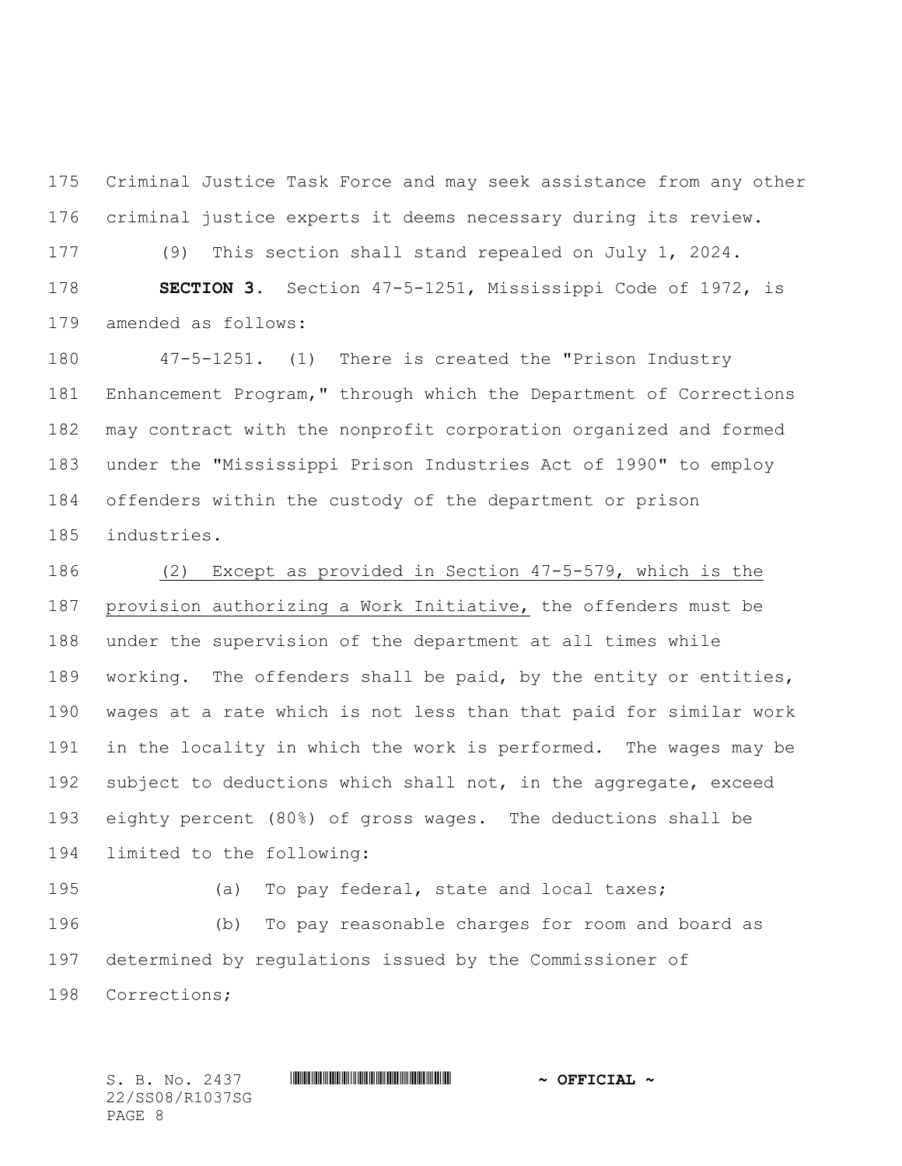Criminal Justice Task Force and may seek assistance from any other criminal justice experts it deems necessary during its review.

 (9) This section shall stand repealed on July 1, 2024. **SECTION 3.** Section 47-5-1251, Mississippi Code of 1972, is amended as follows:

 47-5-1251. (1) There is created the "Prison Industry Enhancement Program," through which the Department of Corrections may contract with the nonprofit corporation organized and formed under the "Mississippi Prison Industries Act of 1990" to employ offenders within the custody of the department or prison industries.

 (2) Except as provided in Section 47-5-579, which is the provision authorizing a Work Initiative, the offenders must be under the supervision of the department at all times while working. The offenders shall be paid, by the entity or entities, wages at a rate which is not less than that paid for similar work in the locality in which the work is performed. The wages may be 192 subject to deductions which shall not, in the aggregate, exceed eighty percent (80%) of gross wages. The deductions shall be limited to the following:

 (a) To pay federal, state and local taxes; (b) To pay reasonable charges for room and board as determined by regulations issued by the Commissioner of Corrections;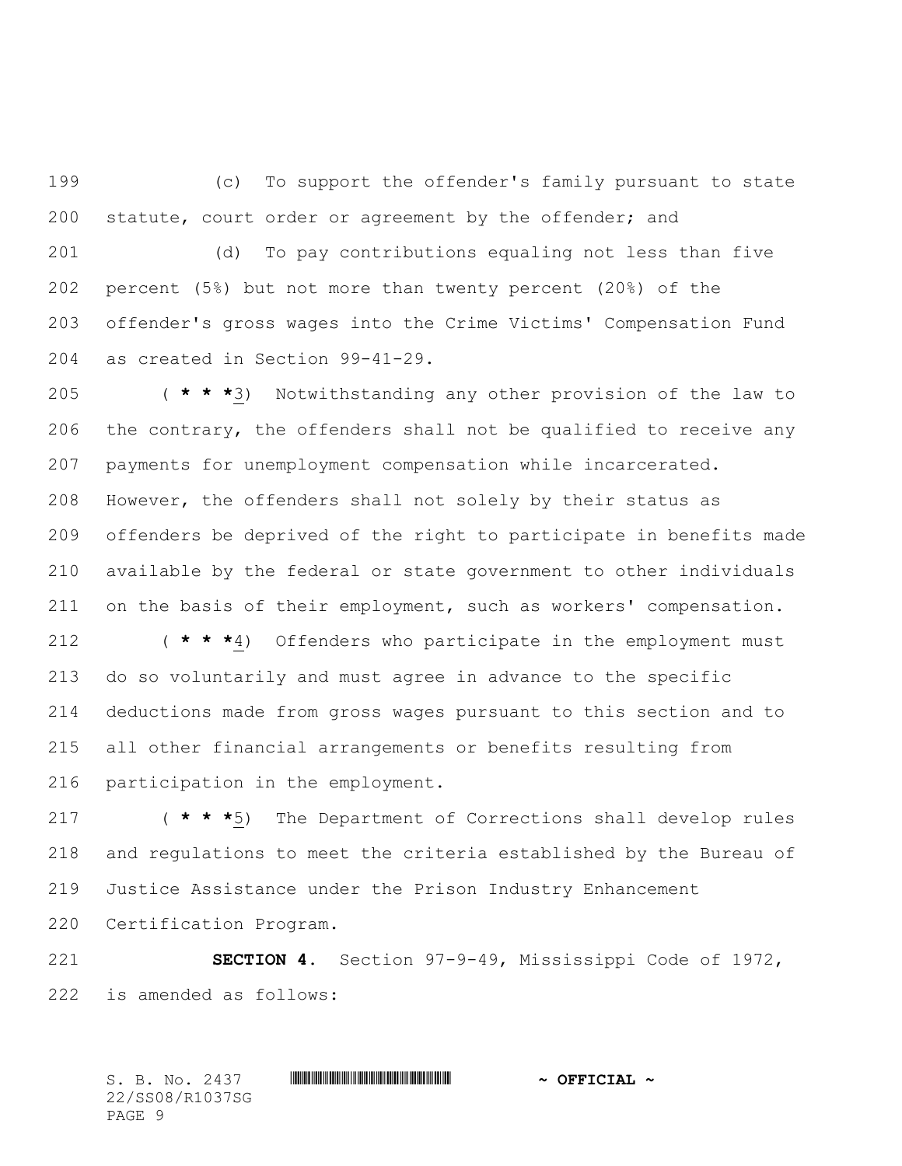(c) To support the offender's family pursuant to state statute, court order or agreement by the offender; and

 (d) To pay contributions equaling not less than five percent (5%) but not more than twenty percent (20%) of the offender's gross wages into the Crime Victims' Compensation Fund as created in Section 99-41-29.

 ( **\* \* \***3) Notwithstanding any other provision of the law to the contrary, the offenders shall not be qualified to receive any payments for unemployment compensation while incarcerated. However, the offenders shall not solely by their status as offenders be deprived of the right to participate in benefits made available by the federal or state government to other individuals 211 on the basis of their employment, such as workers' compensation.

 ( **\* \* \***4) Offenders who participate in the employment must do so voluntarily and must agree in advance to the specific deductions made from gross wages pursuant to this section and to all other financial arrangements or benefits resulting from participation in the employment.

 ( **\* \* \***5) The Department of Corrections shall develop rules and regulations to meet the criteria established by the Bureau of Justice Assistance under the Prison Industry Enhancement Certification Program.

 **SECTION 4.** Section 97-9-49, Mississippi Code of 1972, is amended as follows: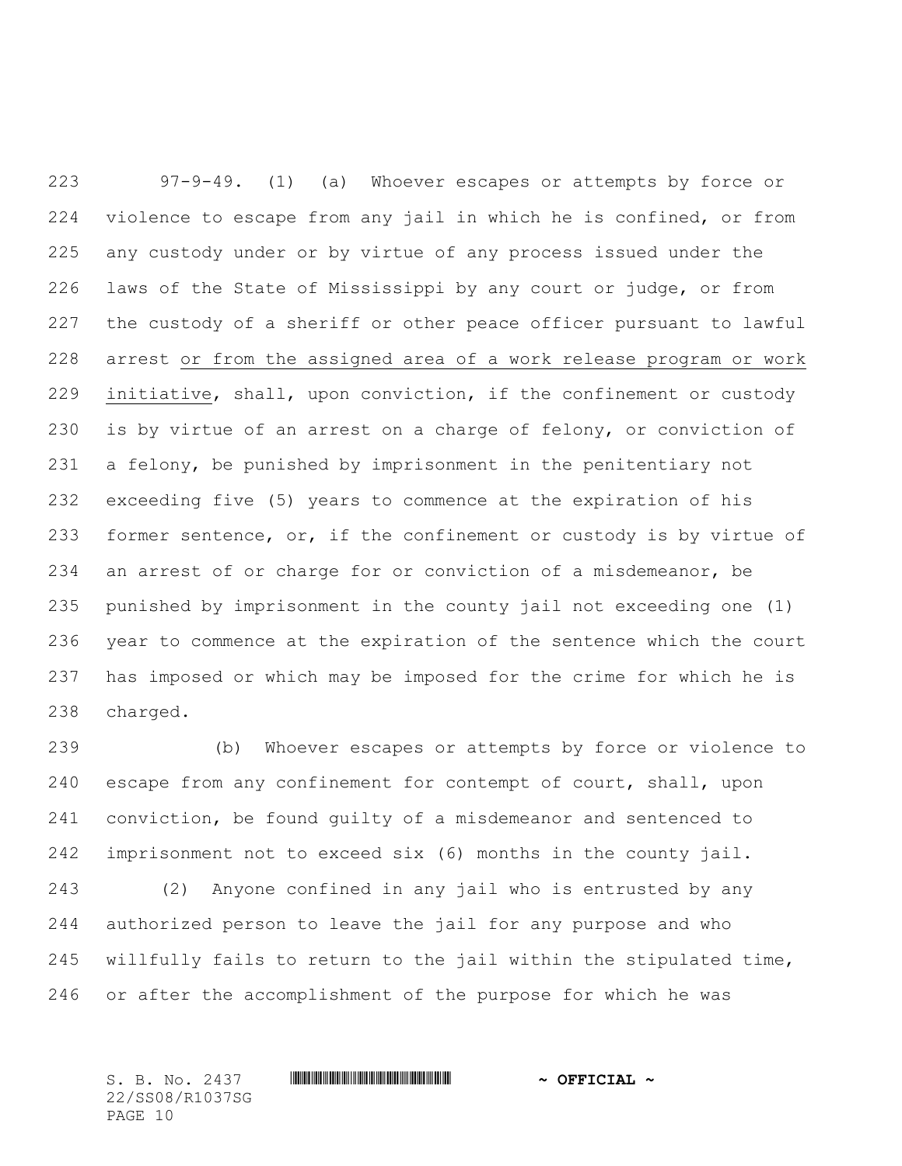97-9-49. (1) (a) Whoever escapes or attempts by force or violence to escape from any jail in which he is confined, or from any custody under or by virtue of any process issued under the laws of the State of Mississippi by any court or judge, or from the custody of a sheriff or other peace officer pursuant to lawful arrest or from the assigned area of a work release program or work initiative, shall, upon conviction, if the confinement or custody is by virtue of an arrest on a charge of felony, or conviction of a felony, be punished by imprisonment in the penitentiary not exceeding five (5) years to commence at the expiration of his former sentence, or, if the confinement or custody is by virtue of an arrest of or charge for or conviction of a misdemeanor, be punished by imprisonment in the county jail not exceeding one (1) year to commence at the expiration of the sentence which the court has imposed or which may be imposed for the crime for which he is charged.

 (b) Whoever escapes or attempts by force or violence to escape from any confinement for contempt of court, shall, upon conviction, be found guilty of a misdemeanor and sentenced to imprisonment not to exceed six (6) months in the county jail.

 (2) Anyone confined in any jail who is entrusted by any authorized person to leave the jail for any purpose and who willfully fails to return to the jail within the stipulated time, or after the accomplishment of the purpose for which he was